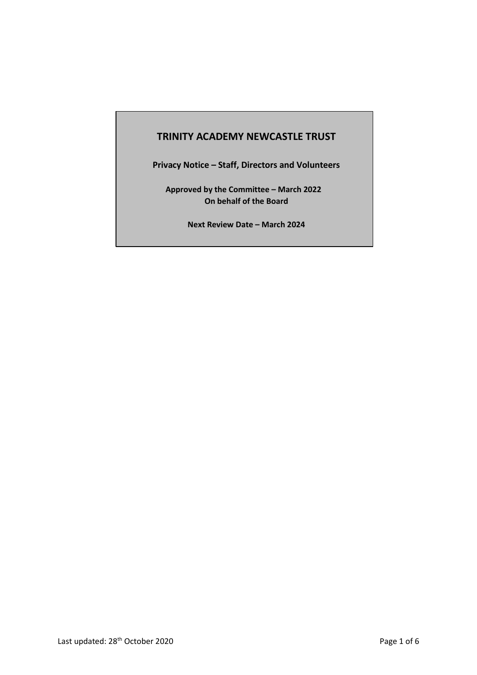# **TRINITY ACADEMY NEWCASTLE TRUST**

**Privacy Notice – Staff, Directors and Volunteers**

**Approved by the Committee – March 2022 On behalf of the Board**

**Next Review Date – March 2024**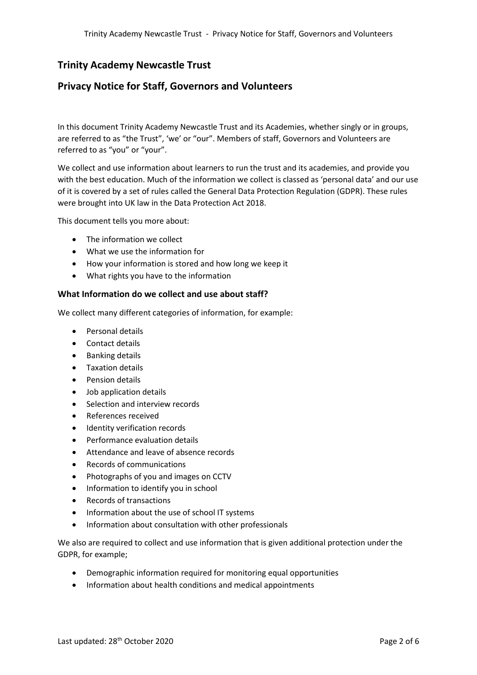# **Trinity Academy Newcastle Trust**

## **Privacy Notice for Staff, Governors and Volunteers**

In this document Trinity Academy Newcastle Trust and its Academies, whether singly or in groups, are referred to as "the Trust", 'we' or "our". Members of staff, Governors and Volunteers are referred to as "you" or "your".

We collect and use information about learners to run the trust and its academies, and provide you with the best education. Much of the information we collect is classed as 'personal data' and our use of it is covered by a set of rules called the General Data Protection Regulation (GDPR). These rules were brought into UK law in the Data Protection Act 2018.

This document tells you more about:

- The information we collect
- What we use the information for
- How your information is stored and how long we keep it
- What rights you have to the information

## **What Information do we collect and use about staff?**

We collect many different categories of information, for example:

- Personal details
- Contact details
- Banking details
- Taxation details
- Pension details
- Job application details
- Selection and interview records
- References received
- **•** Identity verification records
- Performance evaluation details
- Attendance and leave of absence records
- Records of communications
- Photographs of you and images on CCTV
- Information to identify you in school
- Records of transactions
- Information about the use of school IT systems
- Information about consultation with other professionals

We also are required to collect and use information that is given additional protection under the GDPR, for example;

- Demographic information required for monitoring equal opportunities
- Information about health conditions and medical appointments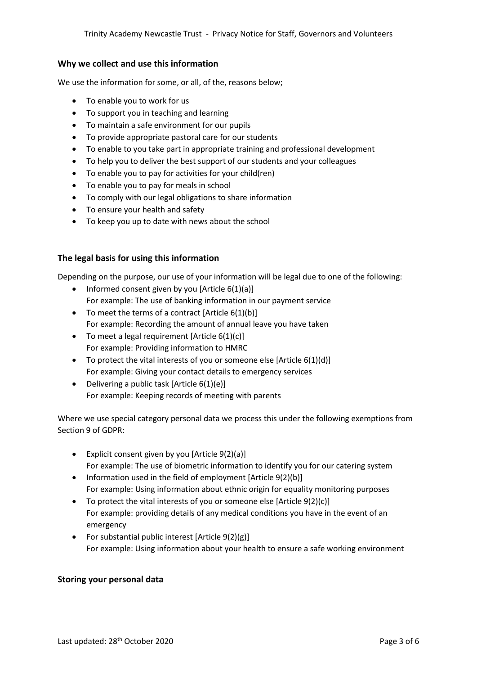## **Why we collect and use this information**

We use the information for some, or all, of the, reasons below;

- To enable you to work for us
- To support you in teaching and learning
- To maintain a safe environment for our pupils
- To provide appropriate pastoral care for our students
- To enable to you take part in appropriate training and professional development
- To help you to deliver the best support of our students and your colleagues
- To enable you to pay for activities for your child(ren)
- To enable you to pay for meals in school
- To comply with our legal obligations to share information
- To ensure your health and safety
- To keep you up to date with news about the school

## **The legal basis for using this information**

Depending on the purpose, our use of your information will be legal due to one of the following:

- Informed consent given by you [Article 6(1)(a)] For example: The use of banking information in our payment service
- $\bullet$  To meet the terms of a contract [Article 6(1)(b)] For example: Recording the amount of annual leave you have taken
- $\bullet$  To meet a legal requirement [Article 6(1)(c)] For example: Providing information to HMRC
- $\bullet$  To protect the vital interests of you or someone else [Article 6(1)(d)] For example: Giving your contact details to emergency services
- Delivering a public task [Article  $6(1)(e)$ ] For example: Keeping records of meeting with parents

Where we use special category personal data we process this under the following exemptions from Section 9 of GDPR:

- Explicit consent given by you [Article  $9(2)(a)$ ] For example: The use of biometric information to identify you for our catering system
- Information used in the field of employment [Article  $9(2)(b)$ ] For example: Using information about ethnic origin for equality monitoring purposes
- $\bullet$  To protect the vital interests of you or someone else [Article 9(2)(c)] For example: providing details of any medical conditions you have in the event of an emergency
- For substantial public interest  $[Article 9(2)(g)]$ For example: Using information about your health to ensure a safe working environment

## **Storing your personal data**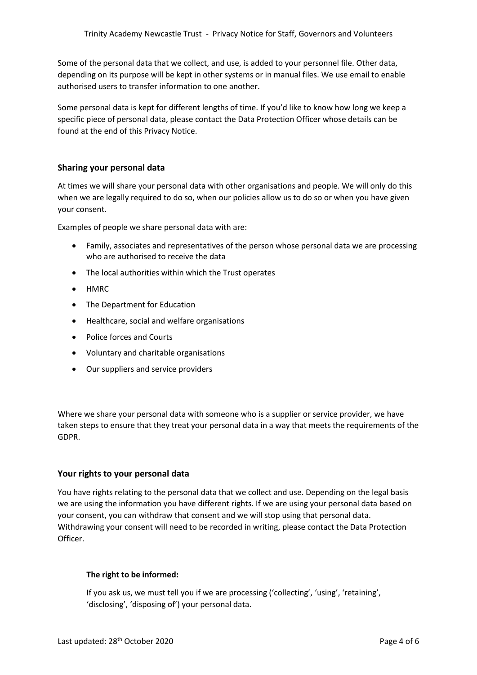Some of the personal data that we collect, and use, is added to your personnel file. Other data, depending on its purpose will be kept in other systems or in manual files. We use email to enable authorised users to transfer information to one another.

Some personal data is kept for different lengths of time. If you'd like to know how long we keep a specific piece of personal data, please contact the Data Protection Officer whose details can be found at the end of this Privacy Notice.

## **Sharing your personal data**

At times we will share your personal data with other organisations and people. We will only do this when we are legally required to do so, when our policies allow us to do so or when you have given your consent.

Examples of people we share personal data with are:

- Family, associates and representatives of the person whose personal data we are processing who are authorised to receive the data
- The local authorities within which the Trust operates
- HMRC
- The Department for Education
- Healthcare, social and welfare organisations
- Police forces and Courts
- Voluntary and charitable organisations
- Our suppliers and service providers

Where we share your personal data with someone who is a supplier or service provider, we have taken steps to ensure that they treat your personal data in a way that meets the requirements of the GDPR.

## **Your rights to your personal data**

You have rights relating to the personal data that we collect and use. Depending on the legal basis we are using the information you have different rights. If we are using your personal data based on your consent, you can withdraw that consent and we will stop using that personal data. Withdrawing your consent will need to be recorded in writing, please contact the Data Protection Officer.

## **The right to be informed:**

If you ask us, we must tell you if we are processing ('collecting', 'using', 'retaining', 'disclosing', 'disposing of') your personal data.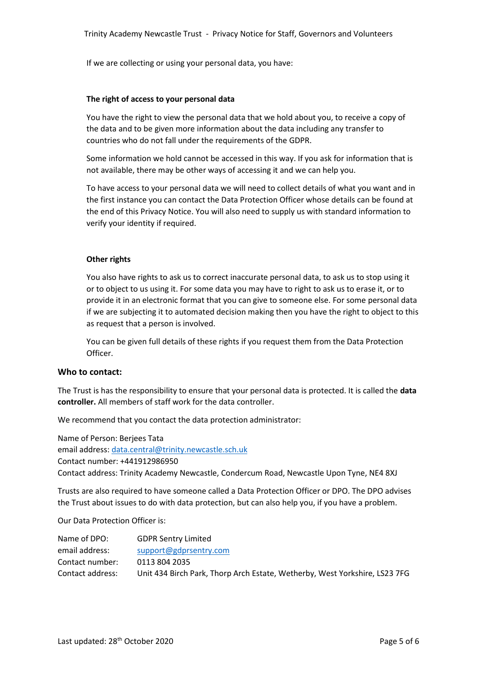If we are collecting or using your personal data, you have:

#### **The right of access to your personal data**

You have the right to view the personal data that we hold about you, to receive a copy of the data and to be given more information about the data including any transfer to countries who do not fall under the requirements of the GDPR.

Some information we hold cannot be accessed in this way. If you ask for information that is not available, there may be other ways of accessing it and we can help you.

To have access to your personal data we will need to collect details of what you want and in the first instance you can contact the Data Protection Officer whose details can be found at the end of this Privacy Notice. You will also need to supply us with standard information to verify your identity if required.

#### **Other rights**

You also have rights to ask us to correct inaccurate personal data, to ask us to stop using it or to object to us using it. For some data you may have to right to ask us to erase it, or to provide it in an electronic format that you can give to someone else. For some personal data if we are subjecting it to automated decision making then you have the right to object to this as request that a person is involved.

You can be given full details of these rights if you request them from the Data Protection Officer.

## **Who to contact:**

The Trust is has the responsibility to ensure that your personal data is protected. It is called the **data controller.** All members of staff work for the data controller.

We recommend that you contact the data protection administrator:

Name of Person: Berjees Tata email address: [data.central@trinity.newcastle.sch.uk](mailto:data.central@trinity.newcastle.sch.uk) Contact number: +441912986950 Contact address: Trinity Academy Newcastle, Condercum Road, Newcastle Upon Tyne, NE4 8XJ

Trusts are also required to have someone called a Data Protection Officer or DPO. The DPO advises the Trust about issues to do with data protection, but can also help you, if you have a problem.

Our Data Protection Officer is:

| Name of DPO:     | <b>GDPR Sentry Limited</b>                                                 |
|------------------|----------------------------------------------------------------------------|
| email address:   | support@gdprsentry.com                                                     |
| Contact number:  | 0113 804 2035                                                              |
| Contact address: | Unit 434 Birch Park, Thorp Arch Estate, Wetherby, West Yorkshire, LS23 7FG |